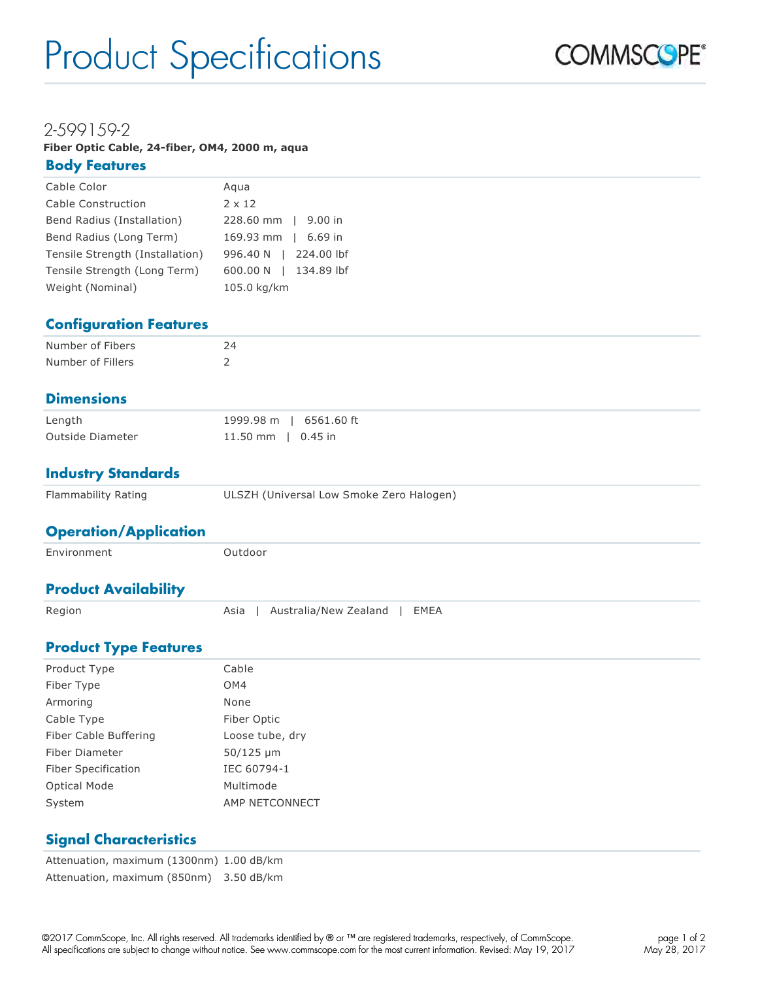# Product Specifications



# 2-599159-2

**Fiber Optic Cable, 24-fiber, OM4, 2000 m, aqua Body Features** 

| Cable Color                     | Agua                  |
|---------------------------------|-----------------------|
| Cable Construction              | $2 \times 12$         |
| Bend Radius (Installation)      | 228.60 mm   9.00 in   |
| Bend Radius (Long Term)         | 169.93 mm   6.69 in   |
| Tensile Strength (Installation) | 996.40 N   224.00 lbf |
| Tensile Strength (Long Term)    | 600.00 N   134.89 lbf |
| Weight (Nominal)                | 105.0 kg/km           |

# **Configuration Features**

| Number of Fibers  | 24 |
|-------------------|----|
| Number of Fillers |    |

### **Dimensions**

| Length           | 1999.98 m   6561.60 ft |
|------------------|------------------------|
| Outside Diameter | 11.50 mm   0.45 in     |

#### **Industry Standards**

| Flammability Rating | ULSZH (Universal Low Smoke Zero Halogen) |
|---------------------|------------------------------------------|
|---------------------|------------------------------------------|

#### **Operation/Application**

| Environment                 | Outdoor                               |
|-----------------------------|---------------------------------------|
| <b>Product Availability</b> |                                       |
| Region                      | Australia/New Zealand<br>EMEA<br>Asia |

### **Product Type Features**

| Product Type          | Cable           |
|-----------------------|-----------------|
| Fiber Type            | OM4             |
| Armoring              | None            |
| Cable Type            | Fiber Optic     |
| Fiber Cable Buffering | Loose tube, dry |
| Fiber Diameter        | $50/125 \mu m$  |
| Fiber Specification   | IEC 60794-1     |
| <b>Optical Mode</b>   | Multimode       |
| System                | AMP NETCONNECT  |

### **Signal Characteristics**

Attenuation, maximum (1300nm) 1.00 dB/km Attenuation, maximum (850nm) 3.50 dB/km